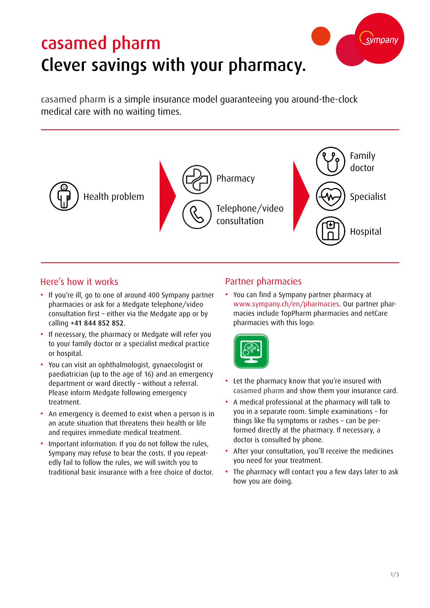# casamed pharm Clever savings with your pharmacy.

casamed pharm is a simple insurance model guaranteeing you around-the-clock medical care with no waiting times.



## Here's how it works

- If you're ill, go to one of around 400 Sympany partner pharmacies or ask for a Medgate telephone/video consultation first – either via the Medgate app or by calling +41 844 852 852.
- If necessary, the pharmacy or Medgate will refer you to your family doctor or a specialist medical practice or hospital.
- You can visit an ophthalmologist, gynaecologist or paediatrician (up to the age of 16) and an emergency department or ward directly – without a referral. Please inform Medgate following emergency treatment.
- An emergency is deemed to exist when a person is in an acute situation that threatens their health or life and requires immediate medical treatment.
- Important information: If you do not follow the rules, Sympany may refuse to bear the costs. If you repeatedly fail to follow the rules, we will switch you to traditional basic insurance with a free choice of doctor.

#### Partner pharmacies

• You can find a Sympany partner pharmacy at www.sympany.ch/en/pharmacies. Our partner pharmacies include TopPharm pharmacies and netCare pharmacies with this logo:



- Let the pharmacy know that you're insured with casamed pharm and show them your insurance card.
- A medical professional at the pharmacy will talk to you in a separate room. Simple examinations – for things like flu symptoms or rashes – can be performed directly at the pharmacy. If necessary, a doctor is consulted by phone.
- After your consultation, you'll receive the medicines you need for your treatment.
- The pharmacy will contact you a few days later to ask how you are doing.

sympany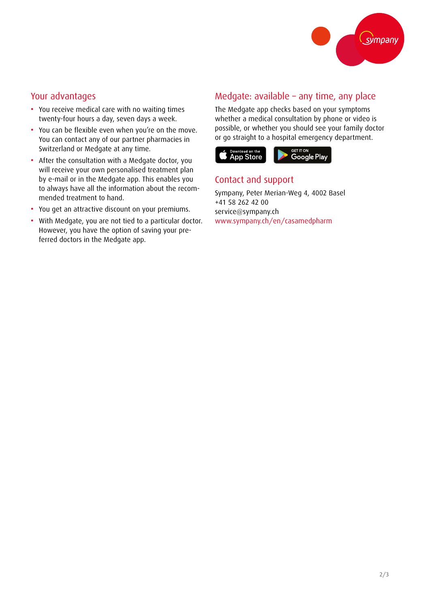

#### Your advantages

- You receive medical care with no waiting times twenty-four hours a day, seven days a week.
- You can be flexible even when you're on the move. You can contact any of our partner pharmacies in Switzerland or Medgate at any time.
- After the consultation with a Medgate doctor, you will receive your own personalised treatment plan by e-mail or in the Medgate app. This enables you to always have all the information about the recommended treatment to hand.
- You get an attractive discount on your premiums.
- With Medgate, you are not tied to a particular doctor. However, you have the option of saving your preferred doctors in the Medgate app.

### Medgate: available – any time, any place

The Medgate app checks based on your symptoms whether a medical consultation by phone or video is possible, or whether you should see your family doctor or go straight to a hospital emergency department.



#### Contact and support

Sympany, Peter Merian-Weg 4, 4002 Basel +41 58 262 42 00 service@sympany.ch www.sympany.ch/en/casamedpharm